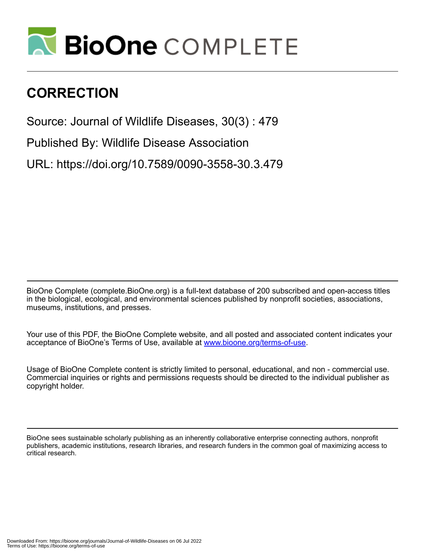

## **CORRECTION**

Source: Journal of Wildlife Diseases, 30(3) : 479

Published By: Wildlife Disease Association

URL: https://doi.org/10.7589/0090-3558-30.3.479

BioOne Complete (complete.BioOne.org) is a full-text database of 200 subscribed and open-access titles in the biological, ecological, and environmental sciences published by nonprofit societies, associations, museums, institutions, and presses.

Your use of this PDF, the BioOne Complete website, and all posted and associated content indicates your acceptance of BioOne's Terms of Use, available at www.bioone.org/terms-of-use.

Usage of BioOne Complete content is strictly limited to personal, educational, and non - commercial use. Commercial inquiries or rights and permissions requests should be directed to the individual publisher as copyright holder.

BioOne sees sustainable scholarly publishing as an inherently collaborative enterprise connecting authors, nonprofit publishers, academic institutions, research libraries, and research funders in the common goal of maximizing access to critical research.